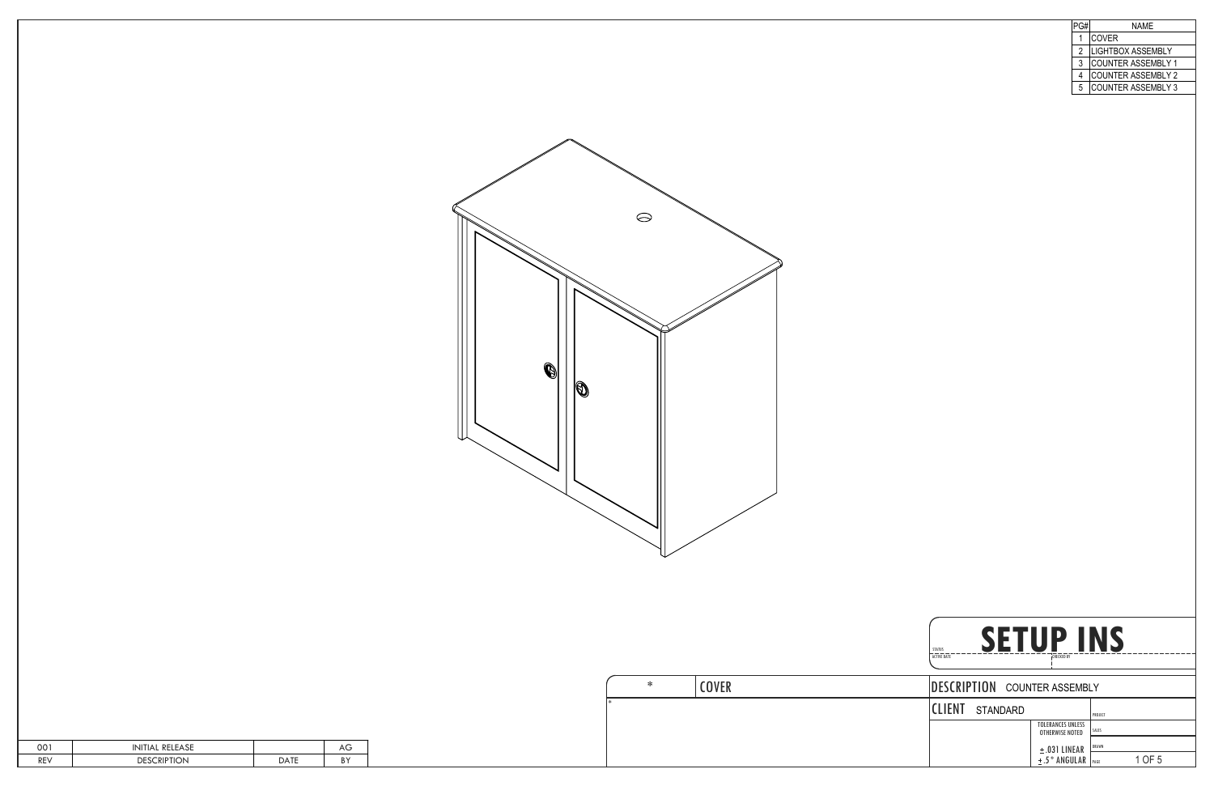| 001        | RELEASE<br>INITIAL | Αv |
|------------|--------------------|----|
| <b>REV</b> | CRIPTION<br>DESC   | B١ |

|   | NAMF                      |
|---|---------------------------|
|   | COVER                     |
| 2 | <b>LIGHTBOX ASSEMBLY</b>  |
| 3 | COUNTER ASSEMBLY 1        |
| 4 |                           |
| 5 | <b>COUNTER ASSEMBLY 3</b> |
|   | COUNTER ASSEMBLY 2        |

| SETUP<br><b>STATUS</b><br><b>ACTIVE DATE</b> | <b>CHECKED BY</b>                           |                |
|----------------------------------------------|---------------------------------------------|----------------|
| DESCRIPTION COUNTER ASSEMBLY                 |                                             |                |
| <b>CILENT</b> STANDARD                       |                                             | PROJECT        |
|                                              | <b>TOLERANCES UNLESS</b><br>OTHERWISE NOTED | SALES          |
|                                              | $\pm$ .031 LINEAR                           | <b>DRAWN</b>   |
|                                              | $±.5°$ ANGULAR                              | 1 OF 5<br>PAGE |



| ∗ | <b>COVER</b> | DESCRIPTION COU        |  |
|---|--------------|------------------------|--|
|   |              | <b>CLIENT</b> STANDARD |  |
|   |              |                        |  |
|   |              |                        |  |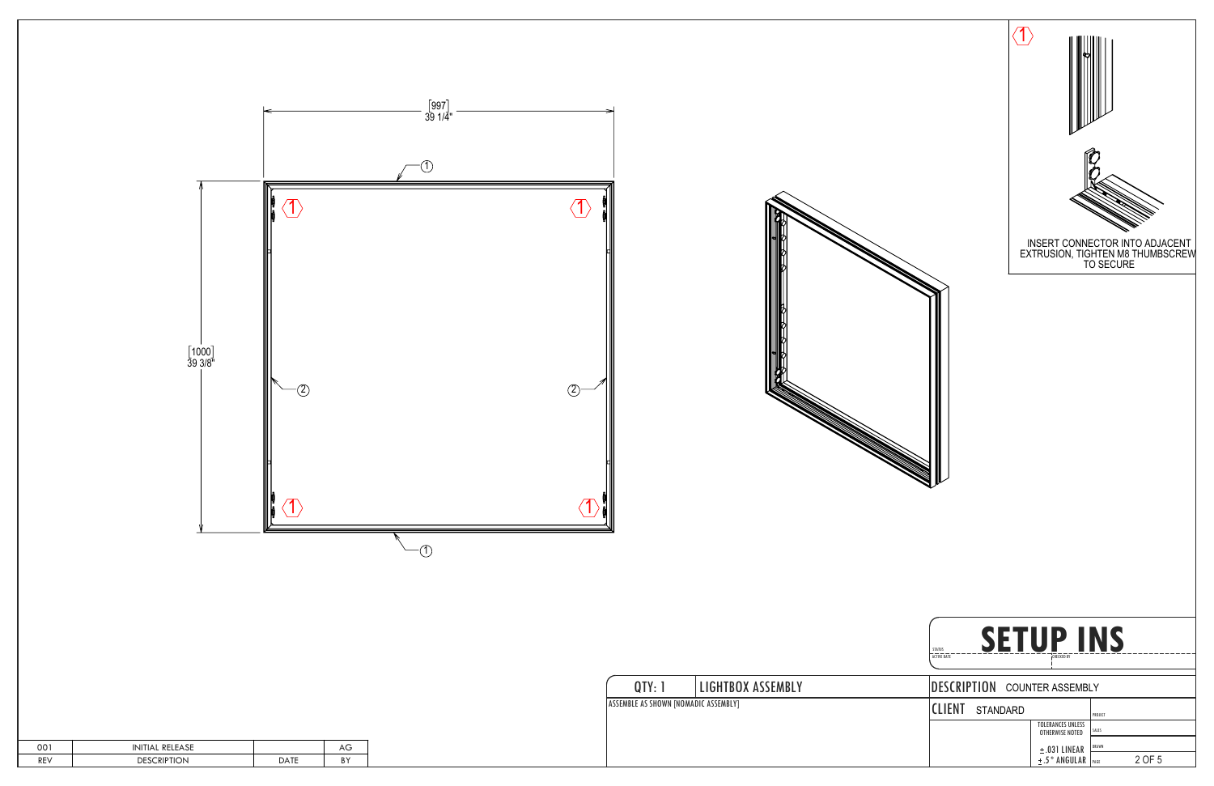



| 001 | <b>RELEASE</b><br>'NIIIAL |      | AU               |
|-----|---------------------------|------|------------------|
| REV | <b>DESCRIPTION</b>        | ነ Δገ | <b>DV</b><br>D I |



| QTY: 1                                      | <b>LIGHTBOX ASSEMBLY</b> | DESCRIPTION COU            |
|---------------------------------------------|--------------------------|----------------------------|
| <b>ASSEMBLE AS SHOWN [NOMADIC ASSEMBLY]</b> |                          | <b>ICLIENT</b><br>STANDARD |
|                                             |                          |                            |
|                                             |                          |                            |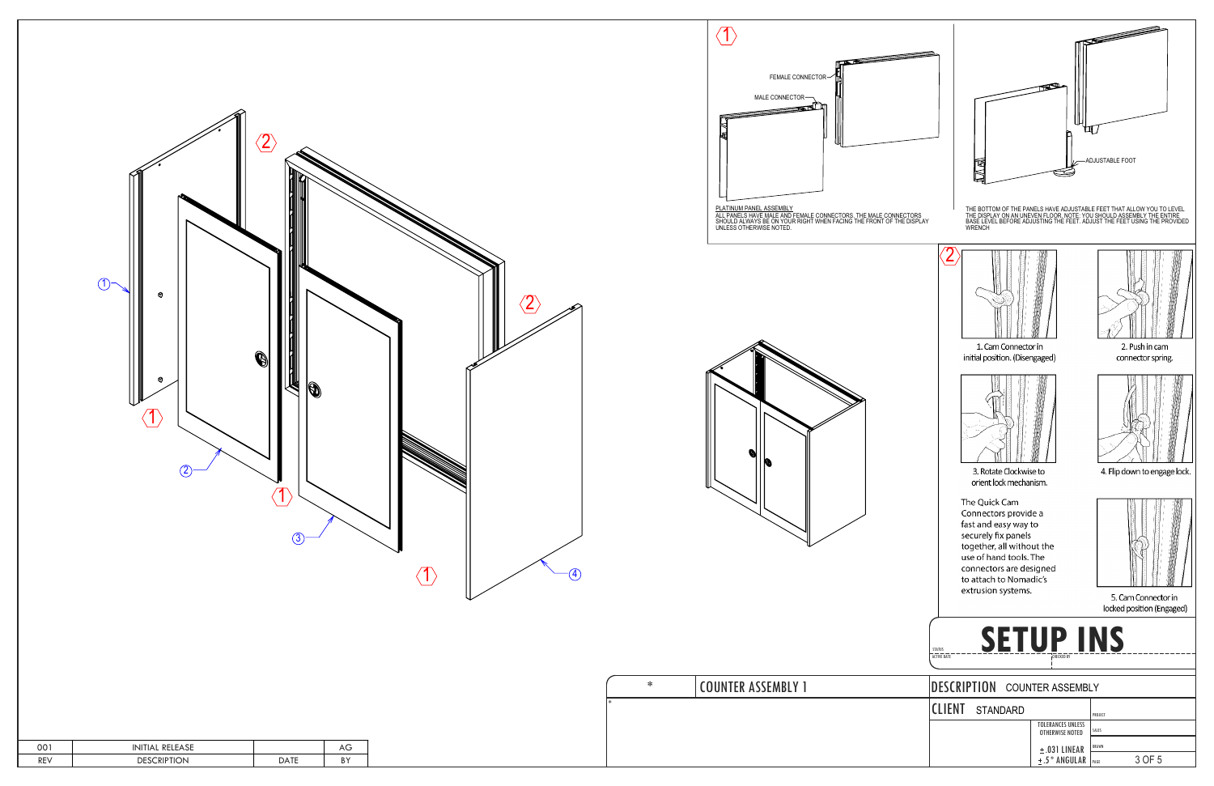

| 001 | L RELEASE<br>'NITIAL |              | AU              |
|-----|----------------------|--------------|-----------------|
| REV | DESCRIPTION          | $\Delta T^T$ | <b>DV</b><br>DТ |





| ∗      | COUNTER ASSEMBLY 1 |
|--------|--------------------|
| $\ast$ |                    |
|        |                    |
|        |                    |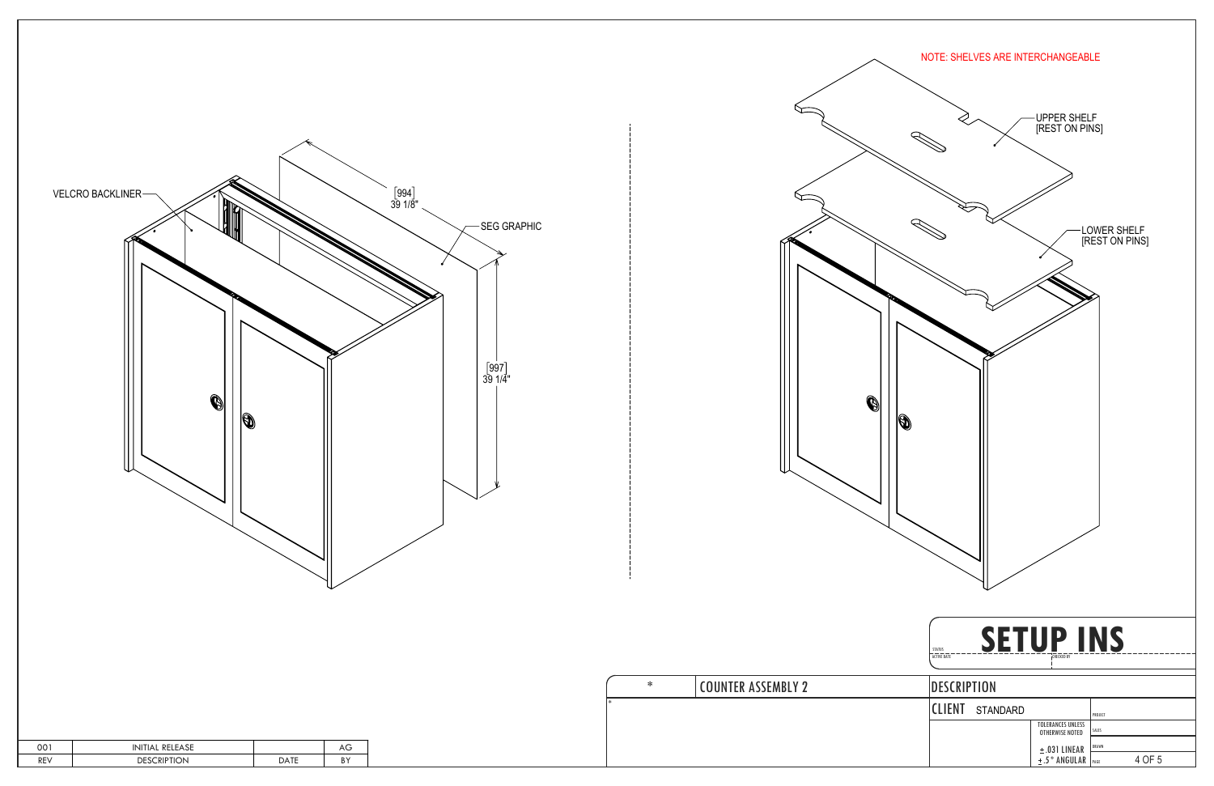